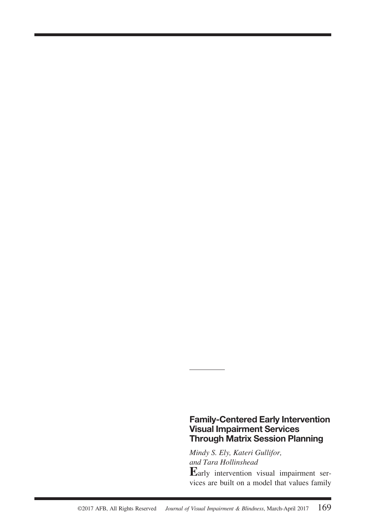# **Family-Centered Early Intervention Visual Impairment Services Through Matrix Session Planning**

*Mindy S. Ely, Kateri Gullifor, and Tara Hollinshead*

**E**arly intervention visual impairment services are built on a model that values family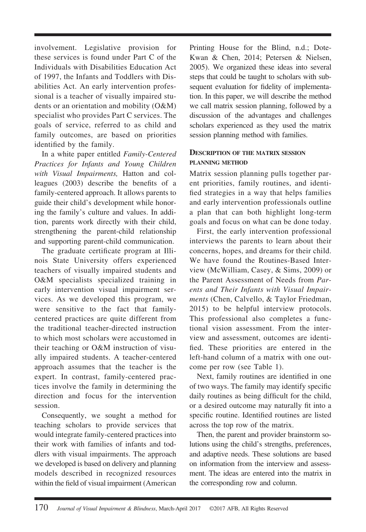involvement. Legislative provision for these services is found under Part C of the Individuals with Disabilities Education Act of 1997, the Infants and Toddlers with Disabilities Act. An early intervention professional is a teacher of visually impaired students or an orientation and mobility (O&M) specialist who provides Part C services. The goals of service, referred to as child and family outcomes, are based on priorities identified by the family.

In a white paper entitled *Family-Centered Practices for Infants and Young Children with Visual Impairments,* Hatton and colleagues (2003) describe the benefits of a family-centered approach. It allows parents to guide their child's development while honoring the family's culture and values. In addition, parents work directly with their child, strengthening the parent-child relationship and supporting parent-child communication.

The graduate certificate program at Illinois State University offers experienced teachers of visually impaired students and O&M specialists specialized training in early intervention visual impairment services. As we developed this program, we were sensitive to the fact that familycentered practices are quite different from the traditional teacher-directed instruction to which most scholars were accustomed in their teaching or O&M instruction of visually impaired students. A teacher-centered approach assumes that the teacher is the expert. In contrast, family-centered practices involve the family in determining the direction and focus for the intervention session.

Consequently, we sought a method for teaching scholars to provide services that would integrate family-centered practices into their work with families of infants and toddlers with visual impairments. The approach we developed is based on delivery and planning models described in recognized resources within the field of visual impairment (American

Printing House for the Blind, n.d.; Dote-Kwan & Chen, 2014; Petersen & Nielsen, 2005). We organized these ideas into several steps that could be taught to scholars with subsequent evaluation for fidelity of implementation. In this paper, we will describe the method we call matrix session planning, followed by a discussion of the advantages and challenges scholars experienced as they used the matrix session planning method with families.

### **DESCRIPTION OF THE MATRIX SESSION PLANNING METHOD**

Matrix session planning pulls together parent priorities, family routines, and identified strategies in a way that helps families and early intervention professionals outline a plan that can both highlight long-term goals and focus on what can be done today.

First, the early intervention professional interviews the parents to learn about their concerns, hopes, and dreams for their child. We have found the Routines-Based Interview (McWilliam, Casey, & Sims, 2009) or the Parent Assessment of Needs from *Parents and Their Infants with Visual Impairments* (Chen, Calvello, & Taylor Friedman, 2015) to be helpful interview protocols. This professional also completes a functional vision assessment. From the interview and assessment, outcomes are identified. These priorities are entered in the left-hand column of a matrix with one outcome per row (see Table 1).

Next, family routines are identified in one of two ways. The family may identify specific daily routines as being difficult for the child, or a desired outcome may naturally fit into a specific routine. Identified routines are listed across the top row of the matrix.

Then, the parent and provider brainstorm solutions using the child's strengths, preferences, and adaptive needs. These solutions are based on information from the interview and assessment. The ideas are entered into the matrix in the corresponding row and column.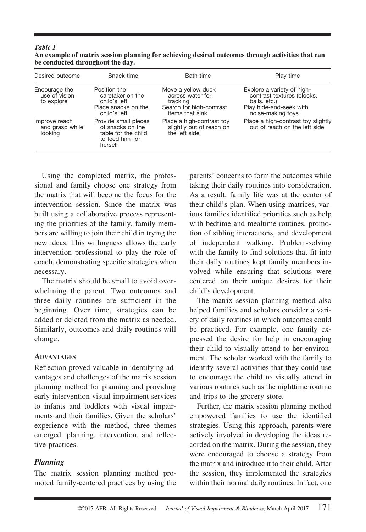#### *Table 1* **An example of matrix session planning for achieving desired outcomes through activities that can be conducted throughout the day.**

| Desired outcome                              | Snack time                                                                                    | <b>Bath time</b>                                                                                  | Play time                                                                                                                |
|----------------------------------------------|-----------------------------------------------------------------------------------------------|---------------------------------------------------------------------------------------------------|--------------------------------------------------------------------------------------------------------------------------|
| Encourage the<br>use of vision<br>to explore | Position the<br>caretaker on the<br>child's left<br>Place snacks on the<br>child's left       | Move a yellow duck<br>across water for<br>tracking<br>Search for high-contrast<br>items that sink | Explore a variety of high-<br>contrast textures (blocks,<br>balls, etc.)<br>Play hide-and-seek with<br>noise-making toys |
| Improve reach<br>and grasp while<br>looking  | Provide small pieces<br>of snacks on the<br>table for the child<br>to feed him- or<br>herself | Place a high-contrast toy<br>slightly out of reach on<br>the left side                            | Place a high-contrast toy slightly<br>out of reach on the left side                                                      |

Using the completed matrix, the professional and family choose one strategy from the matrix that will become the focus for the intervention session. Since the matrix was built using a collaborative process representing the priorities of the family, family members are willing to join their child in trying the new ideas. This willingness allows the early intervention professional to play the role of coach, demonstrating specific strategies when necessary.

The matrix should be small to avoid overwhelming the parent. Two outcomes and three daily routines are sufficient in the beginning. Over time, strategies can be added or deleted from the matrix as needed. Similarly, outcomes and daily routines will change.

#### **ADVANTAGES**

Reflection proved valuable in identifying advantages and challenges of the matrix session planning method for planning and providing early intervention visual impairment services to infants and toddlers with visual impairments and their families. Given the scholars' experience with the method, three themes emerged: planning, intervention, and reflective practices.

# *Planning*

The matrix session planning method promoted family-centered practices by using the parents' concerns to form the outcomes while taking their daily routines into consideration. As a result, family life was at the center of their child's plan. When using matrices, various families identified priorities such as help with bedtime and mealtime routines, promotion of sibling interactions, and development of independent walking. Problem-solving with the family to find solutions that fit into their daily routines kept family members involved while ensuring that solutions were centered on their unique desires for their child's development.

The matrix session planning method also helped families and scholars consider a variety of daily routines in which outcomes could be practiced. For example, one family expressed the desire for help in encouraging their child to visually attend to her environment. The scholar worked with the family to identify several activities that they could use to encourage the child to visually attend in various routines such as the nighttime routine and trips to the grocery store.

Further, the matrix session planning method empowered families to use the identified strategies. Using this approach, parents were actively involved in developing the ideas recorded on the matrix. During the session, they were encouraged to choose a strategy from the matrix and introduce it to their child. After the session, they implemented the strategies within their normal daily routines. In fact, one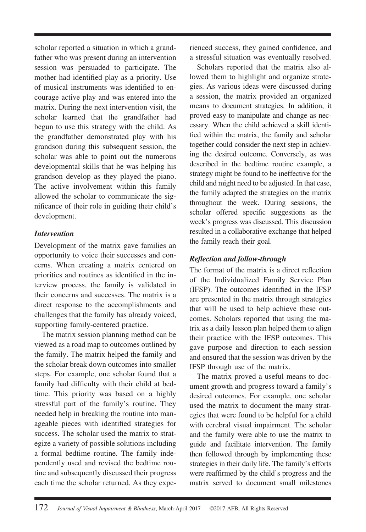scholar reported a situation in which a grandfather who was present during an intervention session was persuaded to participate. The mother had identified play as a priority. Use of musical instruments was identified to encourage active play and was entered into the matrix. During the next intervention visit, the scholar learned that the grandfather had begun to use this strategy with the child. As the grandfather demonstrated play with his grandson during this subsequent session, the scholar was able to point out the numerous developmental skills that he was helping his grandson develop as they played the piano. The active involvement within this family allowed the scholar to communicate the significance of their role in guiding their child's development.

### *Intervention*

Development of the matrix gave families an opportunity to voice their successes and concerns. When creating a matrix centered on priorities and routines as identified in the interview process, the family is validated in their concerns and successes. The matrix is a direct response to the accomplishments and challenges that the family has already voiced, supporting family-centered practice.

The matrix session planning method can be viewed as a road map to outcomes outlined by the family. The matrix helped the family and the scholar break down outcomes into smaller steps. For example, one scholar found that a family had difficulty with their child at bedtime. This priority was based on a highly stressful part of the family's routine. They needed help in breaking the routine into manageable pieces with identified strategies for success. The scholar used the matrix to strategize a variety of possible solutions including a formal bedtime routine. The family independently used and revised the bedtime routine and subsequently discussed their progress each time the scholar returned. As they experienced success, they gained confidence, and a stressful situation was eventually resolved.

Scholars reported that the matrix also allowed them to highlight and organize strategies. As various ideas were discussed during a session, the matrix provided an organized means to document strategies. In addition, it proved easy to manipulate and change as necessary. When the child achieved a skill identified within the matrix, the family and scholar together could consider the next step in achieving the desired outcome. Conversely, as was described in the bedtime routine example, a strategy might be found to be ineffective for the child and might need to be adjusted. In that case, the family adapted the strategies on the matrix throughout the week. During sessions, the scholar offered specific suggestions as the week's progress was discussed. This discussion resulted in a collaborative exchange that helped the family reach their goal.

# *Reflection and follow-through*

The format of the matrix is a direct reflection of the Individualized Family Service Plan (IFSP). The outcomes identified in the IFSP are presented in the matrix through strategies that will be used to help achieve these outcomes. Scholars reported that using the matrix as a daily lesson plan helped them to align their practice with the IFSP outcomes. This gave purpose and direction to each session and ensured that the session was driven by the IFSP through use of the matrix.

The matrix proved a useful means to document growth and progress toward a family's desired outcomes. For example, one scholar used the matrix to document the many strategies that were found to be helpful for a child with cerebral visual impairment. The scholar and the family were able to use the matrix to guide and facilitate intervention. The family then followed through by implementing these strategies in their daily life. The family's efforts were reaffirmed by the child's progress and the matrix served to document small milestones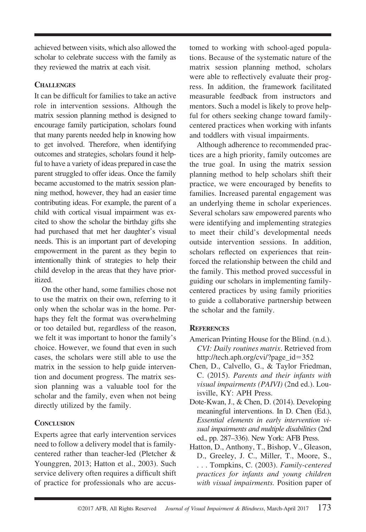achieved between visits, which also allowed the scholar to celebrate success with the family as they reviewed the matrix at each visit.

# **CHALLENGES**

It can be difficult for families to take an active role in intervention sessions. Although the matrix session planning method is designed to encourage family participation, scholars found that many parents needed help in knowing how to get involved. Therefore, when identifying outcomes and strategies, scholars found it helpful to have a variety of ideas prepared in case the parent struggled to offer ideas. Once the family became accustomed to the matrix session planning method, however, they had an easier time contributing ideas. For example, the parent of a child with cortical visual impairment was excited to show the scholar the birthday gifts she had purchased that met her daughter's visual needs. This is an important part of developing empowerment in the parent as they begin to intentionally think of strategies to help their child develop in the areas that they have prioritized.

On the other hand, some families chose not to use the matrix on their own, referring to it only when the scholar was in the home. Perhaps they felt the format was overwhelming or too detailed but, regardless of the reason, we felt it was important to honor the family's choice. However, we found that even in such cases, the scholars were still able to use the matrix in the session to help guide intervention and document progress. The matrix session planning was a valuable tool for the scholar and the family, even when not being directly utilized by the family.

# **CONCLUSION**

Experts agree that early intervention services need to follow a delivery model that is familycentered rather than teacher-led (Pletcher & Younggren, 2013; Hatton et al., 2003). Such service delivery often requires a difficult shift of practice for professionals who are accustomed to working with school-aged populations. Because of the systematic nature of the matrix session planning method, scholars were able to reflectively evaluate their progress. In addition, the framework facilitated measurable feedback from instructors and mentors. Such a model is likely to prove helpful for others seeking change toward familycentered practices when working with infants and toddlers with visual impairments.

Although adherence to recommended practices are a high priority, family outcomes are the true goal. In using the matrix session planning method to help scholars shift their practice, we were encouraged by benefits to families. Increased parental engagement was an underlying theme in scholar experiences. Several scholars saw empowered parents who were identifying and implementing strategies to meet their child's developmental needs outside intervention sessions. In addition, scholars reflected on experiences that reinforced the relationship between the child and the family. This method proved successful in guiding our scholars in implementing familycentered practices by using family priorities to guide a collaborative partnership between the scholar and the family.

# **REFERENCES**

- American Printing House for the Blind. (n.d.). *CVI: Daily routines matrix*. Retrieved from [http://tech.aph.org/cvi/?page\\_id](http://tech.aph.org/cvi/?page_id=352)=352
- Chen, D., Calvello, G., & Taylor Friedman, C. (2015). *Parents and their infants with visual impairments (PAIVI)* (2nd ed.). Louisville, KY: APH Press.
- Dote-Kwan, J., & Chen, D. (2014). Developing meaningful interventions. In D. Chen (Ed.), *Essential elements in early intervention visual impairments and multiple disabilities* (2nd ed., pp. 287–336). New York: AFB Press.
- Hatton, D., Anthony, T., Bishop, V., Gleason, D., Greeley, J. C., Miller, T., Moore, S., . . . Tompkins, C. (2003). *Family-centered practices for infants and young children with visual impairments.* Position paper of